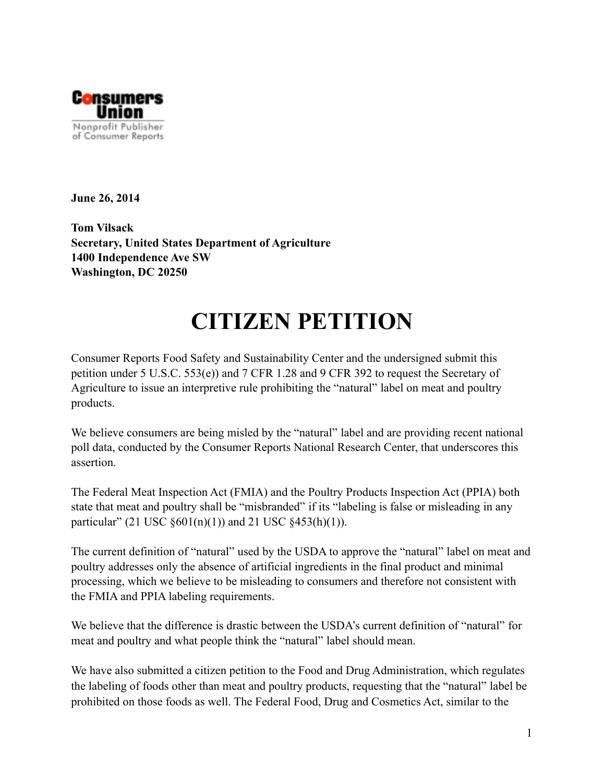

**June 26, 2014** 

**Tom Vilsack Secretary, United States Department of Agriculture 1400 Independence Ave SW Washington, DC 20250**

# **CITIZEN PETITION**

Consumer Reports Food Safety and Sustainability Center and the undersigned submit this petition under 5 U.S.C. 553(e)) and 7 CFR 1.28 and 9 CFR 392 to request the Secretary of Agriculture to issue an interpretive rule prohibiting the "natural" label on meat and poultry products.

We believe consumers are being misled by the "natural" label and are providing recent national poll data, conducted by the Consumer Reports National Research Center, that underscores this assertion.

The Federal Meat Inspection Act (FMIA) and the Poultry Products Inspection Act (PPIA) both state that meat and poultry shall be "misbranded" if its "labeling is false or misleading in any particular" (21 USC  $\S 601(n)(1)$ ) and 21 USC  $\S 453(h)(1)$ ).

The current definition of "natural" used by the USDA to approve the "natural" label on meat and poultry addresses only the absence of artificial ingredients in the final product and minimal processing, which we believe to be misleading to consumers and therefore not consistent with the FMIA and PPIA labeling requirements.

We believe that the difference is drastic between the USDA's current definition of "natural" for meat and poultry and what people think the "natural" label should mean.

We have also submitted a citizen petition to the Food and Drug Administration, which regulates the labeling of foods other than meat and poultry products, requesting that the "natural" label be prohibited on those foods as well. The Federal Food, Drug and Cosmetics Act, similar to the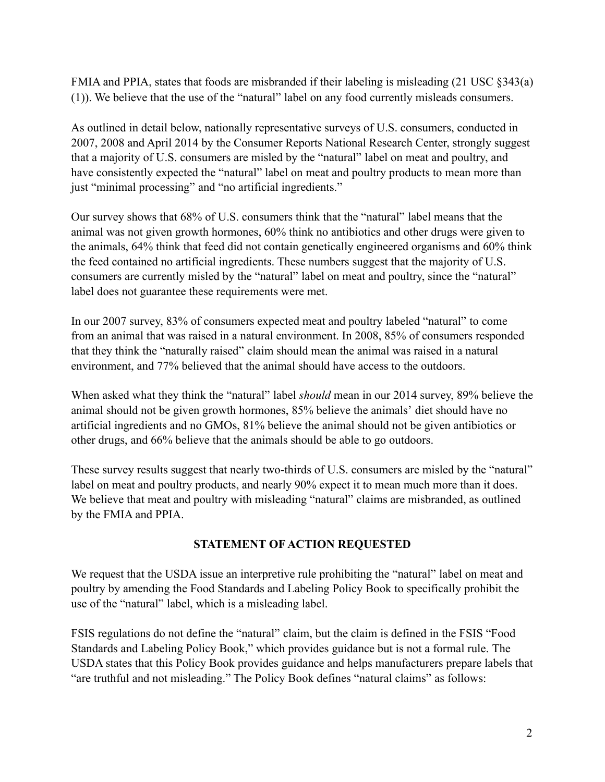FMIA and PPIA, states that foods are misbranded if their labeling is misleading (21 USC §343(a) (1)). We believe that the use of the "natural" label on any food currently misleads consumers.

As outlined in detail below, nationally representative surveys of U.S. consumers, conducted in 2007, 2008 and April 2014 by the Consumer Reports National Research Center, strongly suggest that a majority of U.S. consumers are misled by the "natural" label on meat and poultry, and have consistently expected the "natural" label on meat and poultry products to mean more than just "minimal processing" and "no artificial ingredients."

Our survey shows that 68% of U.S. consumers think that the "natural" label means that the animal was not given growth hormones, 60% think no antibiotics and other drugs were given to the animals, 64% think that feed did not contain genetically engineered organisms and 60% think the feed contained no artificial ingredients. These numbers suggest that the majority of U.S. consumers are currently misled by the "natural" label on meat and poultry, since the "natural" label does not guarantee these requirements were met.

In our 2007 survey, 83% of consumers expected meat and poultry labeled "natural" to come from an animal that was raised in a natural environment. In 2008, 85% of consumers responded that they think the "naturally raised" claim should mean the animal was raised in a natural environment, and 77% believed that the animal should have access to the outdoors.

When asked what they think the "natural" label *should* mean in our 2014 survey, 89% believe the animal should not be given growth hormones, 85% believe the animals' diet should have no artificial ingredients and no GMOs, 81% believe the animal should not be given antibiotics or other drugs, and 66% believe that the animals should be able to go outdoors.

These survey results suggest that nearly two-thirds of U.S. consumers are misled by the "natural" label on meat and poultry products, and nearly 90% expect it to mean much more than it does. We believe that meat and poultry with misleading "natural" claims are misbranded, as outlined by the FMIA and PPIA.

#### **STATEMENT OF ACTION REQUESTED**

We request that the USDA issue an interpretive rule prohibiting the "natural" label on meat and poultry by amending the Food Standards and Labeling Policy Book to specifically prohibit the use of the "natural" label, which is a misleading label.

FSIS regulations do not define the "natural" claim, but the claim is defined in the FSIS "Food Standards and Labeling Policy Book," which provides guidance but is not a formal rule. The USDA states that this Policy Book provides guidance and helps manufacturers prepare labels that "are truthful and not misleading." The Policy Book defines "natural claims" as follows: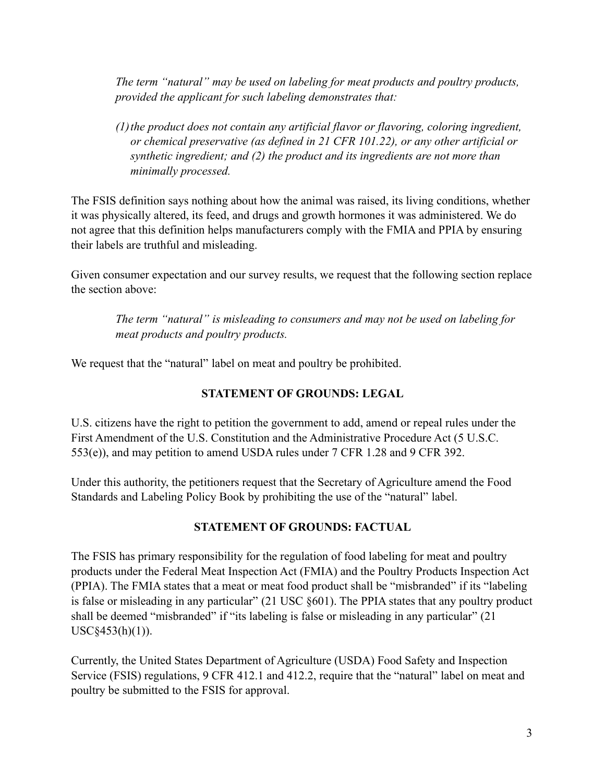*The term "natural" may be used on labeling for meat products and poultry products, provided the applicant for such labeling demonstrates that:*

*(1)the product does not contain any artificial flavor or flavoring, coloring ingredient, or chemical preservative (as defined in 21 CFR 101.22), or any other artificial or synthetic ingredient; and (2) the product and its ingredients are not more than minimally processed.* 

The FSIS definition says nothing about how the animal was raised, its living conditions, whether it was physically altered, its feed, and drugs and growth hormones it was administered. We do not agree that this definition helps manufacturers comply with the FMIA and PPIA by ensuring their labels are truthful and misleading.

Given consumer expectation and our survey results, we request that the following section replace the section above:

*The term "natural" is misleading to consumers and may not be used on labeling for meat products and poultry products.*

We request that the "natural" label on meat and poultry be prohibited.

## **STATEMENT OF GROUNDS: LEGAL**

U.S. citizens have the right to petition the government to add, amend or repeal rules under the First Amendment of the U.S. Constitution and the Administrative Procedure Act (5 U.S.C. 553(e)), and may petition to amend USDA rules under 7 CFR 1.28 and 9 CFR 392.

Under this authority, the petitioners request that the Secretary of Agriculture amend the Food Standards and Labeling Policy Book by prohibiting the use of the "natural" label.

#### **STATEMENT OF GROUNDS: FACTUAL**

The FSIS has primary responsibility for the regulation of food labeling for meat and poultry products under the Federal Meat Inspection Act (FMIA) and the Poultry Products Inspection Act (PPIA). The FMIA states that a meat or meat food product shall be "misbranded" if its "labeling is false or misleading in any particular" (21 USC §601). The PPIA states that any poultry product shall be deemed "misbranded" if "its labeling is false or misleading in any particular" (21) USC§453(h)(1)).

Currently, the United States Department of Agriculture (USDA) Food Safety and Inspection Service (FSIS) regulations, 9 CFR 412.1 and 412.2, require that the "natural" label on meat and poultry be submitted to the FSIS for approval.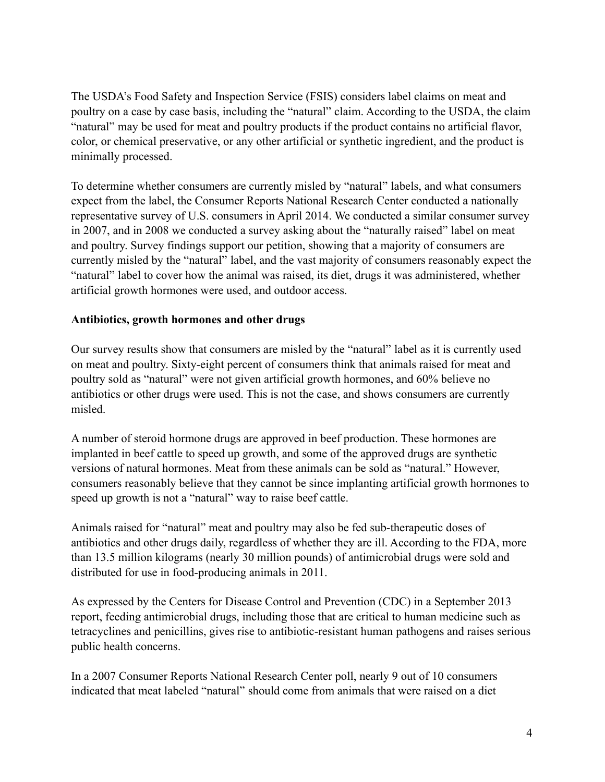The USDA's Food Safety and Inspection Service (FSIS) considers label claims on meat and poultry on a case by case basis, including the "natural" claim. According to the USDA, the claim "natural" may be used for meat and poultry products if the product contains no artificial flavor, color, or chemical preservative, or any other artificial or synthetic ingredient, and the product is minimally processed.

To determine whether consumers are currently misled by "natural" labels, and what consumers expect from the label, the Consumer Reports National Research Center conducted a nationally representative survey of U.S. consumers in April 2014. We conducted a similar consumer survey in 2007, and in 2008 we conducted a survey asking about the "naturally raised" label on meat and poultry. Survey findings support our petition, showing that a majority of consumers are currently misled by the "natural" label, and the vast majority of consumers reasonably expect the "natural" label to cover how the animal was raised, its diet, drugs it was administered, whether artificial growth hormones were used, and outdoor access.

#### **Antibiotics, growth hormones and other drugs**

Our survey results show that consumers are misled by the "natural" label as it is currently used on meat and poultry. Sixty-eight percent of consumers think that animals raised for meat and poultry sold as "natural" were not given artificial growth hormones, and 60% believe no antibiotics or other drugs were used. This is not the case, and shows consumers are currently misled.

A number of steroid hormone drugs are approved in beef production. These hormones are implanted in beef cattle to speed up growth, and some of the approved drugs are synthetic versions of natural hormones. Meat from these animals can be sold as "natural." However, consumers reasonably believe that they cannot be since implanting artificial growth hormones to speed up growth is not a "natural" way to raise beef cattle.

Animals raised for "natural" meat and poultry may also be fed sub-therapeutic doses of antibiotics and other drugs daily, regardless of whether they are ill. According to the FDA, more than 13.5 million kilograms (nearly 30 million pounds) of antimicrobial drugs were sold and distributed for use in food-producing animals in 2011.

As expressed by the Centers for Disease Control and Prevention (CDC) in a September 2013 report, feeding antimicrobial drugs, including those that are critical to human medicine such as tetracyclines and penicillins, gives rise to antibiotic-resistant human pathogens and raises serious public health concerns.

In a 2007 Consumer Reports National Research Center poll, nearly 9 out of 10 consumers indicated that meat labeled "natural" should come from animals that were raised on a diet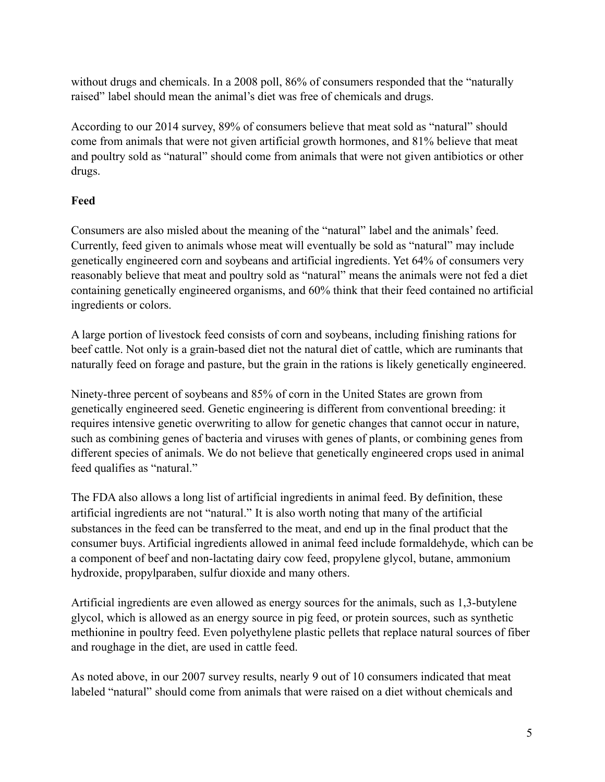without drugs and chemicals. In a 2008 poll, 86% of consumers responded that the "naturally raised" label should mean the animal's diet was free of chemicals and drugs.

According to our 2014 survey, 89% of consumers believe that meat sold as "natural" should come from animals that were not given artificial growth hormones, and 81% believe that meat and poultry sold as "natural" should come from animals that were not given antibiotics or other drugs.

## **Feed**

Consumers are also misled about the meaning of the "natural" label and the animals' feed. Currently, feed given to animals whose meat will eventually be sold as "natural" may include genetically engineered corn and soybeans and artificial ingredients. Yet 64% of consumers very reasonably believe that meat and poultry sold as "natural" means the animals were not fed a diet containing genetically engineered organisms, and 60% think that their feed contained no artificial ingredients or colors.

A large portion of livestock feed consists of corn and soybeans, including finishing rations for beef cattle. Not only is a grain-based diet not the natural diet of cattle, which are ruminants that naturally feed on forage and pasture, but the grain in the rations is likely genetically engineered.

Ninety-three percent of soybeans and 85% of corn in the United States are grown from genetically engineered seed. Genetic engineering is different from conventional breeding: it requires intensive genetic overwriting to allow for genetic changes that cannot occur in nature, such as combining genes of bacteria and viruses with genes of plants, or combining genes from different species of animals. We do not believe that genetically engineered crops used in animal feed qualifies as "natural."

The FDA also allows a long list of artificial ingredients in animal feed. By definition, these artificial ingredients are not "natural." It is also worth noting that many of the artificial substances in the feed can be transferred to the meat, and end up in the final product that the consumer buys. Artificial ingredients allowed in animal feed include formaldehyde, which can be a component of beef and non-lactating dairy cow feed, propylene glycol, butane, ammonium hydroxide, propylparaben, sulfur dioxide and many others.

Artificial ingredients are even allowed as energy sources for the animals, such as 1,3-butylene glycol, which is allowed as an energy source in pig feed, or protein sources, such as synthetic methionine in poultry feed. Even polyethylene plastic pellets that replace natural sources of fiber and roughage in the diet, are used in cattle feed.

As noted above, in our 2007 survey results, nearly 9 out of 10 consumers indicated that meat labeled "natural" should come from animals that were raised on a diet without chemicals and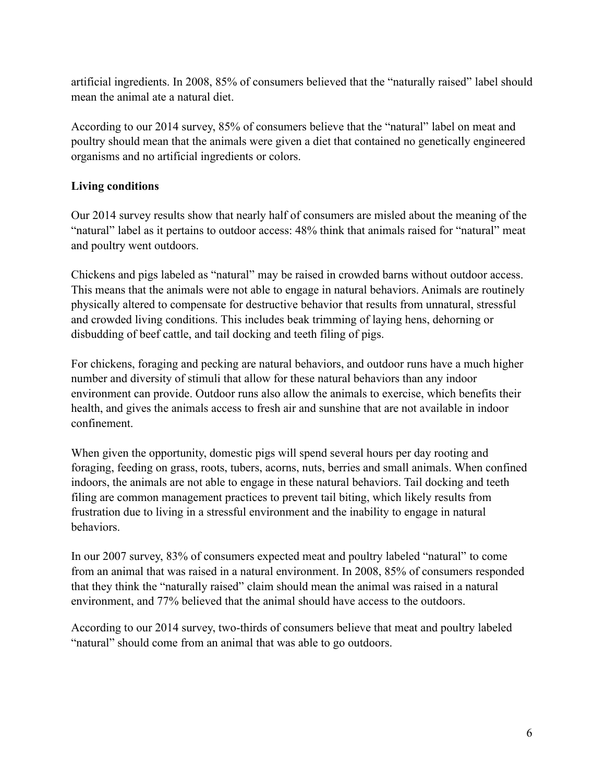artificial ingredients. In 2008, 85% of consumers believed that the "naturally raised" label should mean the animal ate a natural diet.

According to our 2014 survey, 85% of consumers believe that the "natural" label on meat and poultry should mean that the animals were given a diet that contained no genetically engineered organisms and no artificial ingredients or colors.

### **Living conditions**

Our 2014 survey results show that nearly half of consumers are misled about the meaning of the "natural" label as it pertains to outdoor access: 48% think that animals raised for "natural" meat and poultry went outdoors.

Chickens and pigs labeled as "natural" may be raised in crowded barns without outdoor access. This means that the animals were not able to engage in natural behaviors. Animals are routinely physically altered to compensate for destructive behavior that results from unnatural, stressful and crowded living conditions. This includes beak trimming of laying hens, dehorning or disbudding of beef cattle, and tail docking and teeth filing of pigs.

For chickens, foraging and pecking are natural behaviors, and outdoor runs have a much higher number and diversity of stimuli that allow for these natural behaviors than any indoor environment can provide. Outdoor runs also allow the animals to exercise, which benefits their health, and gives the animals access to fresh air and sunshine that are not available in indoor confinement.

When given the opportunity, domestic pigs will spend several hours per day rooting and foraging, feeding on grass, roots, tubers, acorns, nuts, berries and small animals. When confined indoors, the animals are not able to engage in these natural behaviors. Tail docking and teeth filing are common management practices to prevent tail biting, which likely results from frustration due to living in a stressful environment and the inability to engage in natural behaviors.

In our 2007 survey, 83% of consumers expected meat and poultry labeled "natural" to come from an animal that was raised in a natural environment. In 2008, 85% of consumers responded that they think the "naturally raised" claim should mean the animal was raised in a natural environment, and 77% believed that the animal should have access to the outdoors.

According to our 2014 survey, two-thirds of consumers believe that meat and poultry labeled "natural" should come from an animal that was able to go outdoors.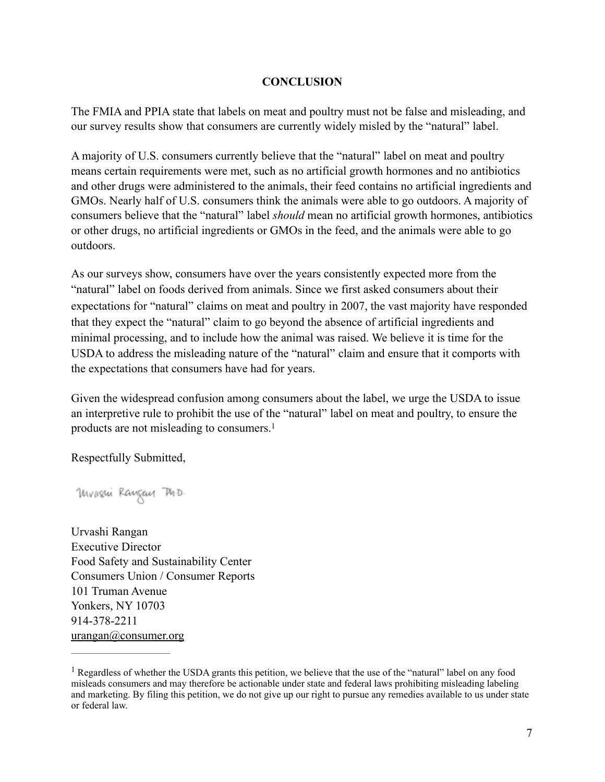#### **CONCLUSION**

The FMIA and PPIA state that labels on meat and poultry must not be false and misleading, and our survey results show that consumers are currently widely misled by the "natural" label.

A majority of U.S. consumers currently believe that the "natural" label on meat and poultry means certain requirements were met, such as no artificial growth hormones and no antibiotics and other drugs were administered to the animals, their feed contains no artificial ingredients and GMOs. Nearly half of U.S. consumers think the animals were able to go outdoors. A majority of consumers believe that the "natural" label *should* mean no artificial growth hormones, antibiotics or other drugs, no artificial ingredients or GMOs in the feed, and the animals were able to go outdoors.

As our surveys show, consumers have over the years consistently expected more from the "natural" label on foods derived from animals. Since we first asked consumers about their expectations for "natural" claims on meat and poultry in 2007, the vast majority have responded that they expect the "natural" claim to go beyond the absence of artificial ingredients and minimal processing, and to include how the animal was raised. We believe it is time for the USDA to address the misleading nature of the "natural" claim and ensure that it comports with the expectations that consumers have had for years.

Given the widespread confusion among consumers about the label, we urge the USDA to issue an interpretive rule to prohibit the use of the "natural" label on meat and poultry, to ensure the products are not misleading to consumers.<sup>1</sup>

Respectfully Submitted,

Mvasui Raugaus Ph.D.

Urvashi Rangan Executive Director Food Safety and Sustainability Center Consumers Union / Consumer Reports 101 Truman Avenue Yonkers, NY 10703 914-378-2211 [urangan@consumer.org](mailto:urangan@consumer.org)

<sup>&</sup>lt;sup>1</sup> Regardless of whether the USDA grants this petition, we believe that the use of the "natural" label on any food misleads consumers and may therefore be actionable under state and federal laws prohibiting misleading labeling and marketing. By filing this petition, we do not give up our right to pursue any remedies available to us under state or federal law.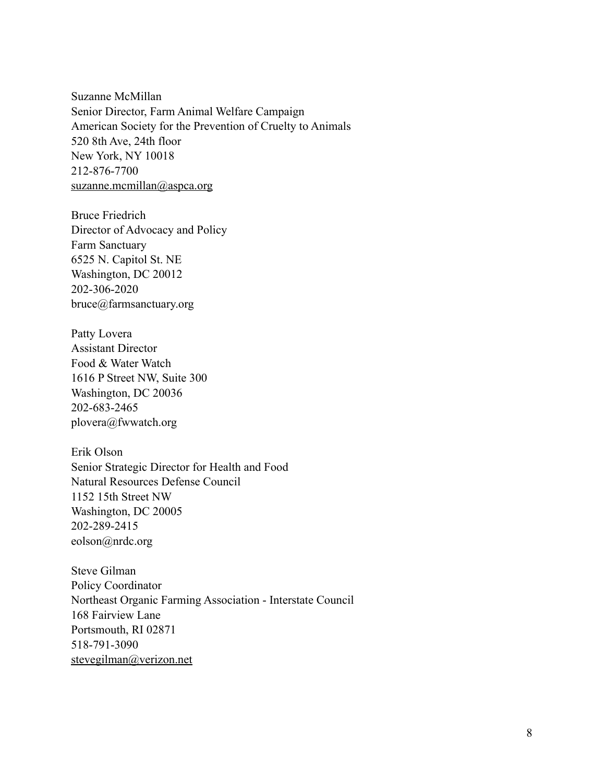Suzanne McMillan Senior Director, Farm Animal Welfare Campaign American Society for the Prevention of Cruelty to Animals 520 8th Ave, 24th floor New York, NY 10018 212-876-7700 [suzanne.mcmillan@aspca.org](mailto:suzanne.mcmillan@aspca.org)

Bruce Friedrich Director of Advocacy and Policy Farm Sanctuary 6525 N. Capitol St. NE Washington, DC 20012 202-306-2020 bruce@farmsanctuary.org

Patty Lovera Assistant Director Food & Water Watch 1616 P Street NW, Suite 300 Washington, DC 20036 202-683-2465 plovera@fwwatch.org

Erik Olson Senior Strategic Director for Health and Food Natural Resources Defense Council 1152 15th Street NW Washington, DC 20005 202-289-2415 eolson@nrdc.org

Steve Gilman Policy Coordinator Northeast Organic Farming Association - Interstate Council 168 Fairview Lane Portsmouth, RI 02871 518-791-3090 [stevegilman@verizon.net](mailto:stevegilman@verizon.net)